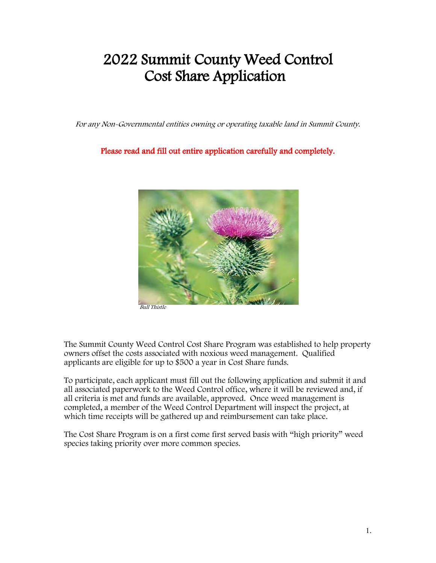# 2022 Summit County Weed Control Cost Share Application

For any Non-Governmental entities owning or operating taxable land in Summit County.

Please read and fill out entire application carefully and completely.



Bull Thistle

The Summit County Weed Control Cost Share Program was established to help property owners offset the costs associated with noxious weed management. Qualified applicants are eligible for up to \$500 a year in Cost Share funds.

To participate, each applicant must fill out the following application and submit it and all associated paperwork to the Weed Control office, where it will be reviewed and, if all criteria is met and funds are available, approved. Once weed management is completed, a member of the Weed Control Department will inspect the project, at which time receipts will be gathered up and reimbursement can take place.

The Cost Share Program is on a first come first served basis with "high priority" weed species taking priority over more common species.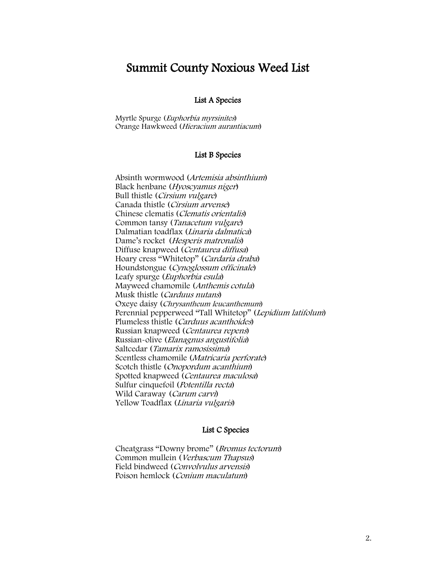# Summit County Noxious Weed List

### List A Species

Myrtle Spurge (Euphorbia myrsinites) Orange Hawkweed (Hieracium aurantiacum)

#### List B Species

Absinth wormwood (Artemisia absinthium) Black henbane (Hyoscyamus niger) Bull thistle (Cirsium vulgare) Canada thistle (Cirsium arvense) Chinese clematis (Clematis orientalis) Common tansy (Tanacetum vulgare) Dalmatian toadflax (Linaria dalmatica) Dame's rocket (Hesperis matronalis) Diffuse knapweed (Centaurea diffusa) Hoary cress "Whitetop" (Cardaria draba) Houndstongue (Cynoglossum officinale) Leafy spurge (Euphorbia esula) Mayweed chamomile (Anthemis cotula) Musk thistle (Carduus nutans) Oxeye daisy (Chrysantheum leucanthemum) Perennial pepperweed "Tall Whitetop" (Lepidium latifolum) Plumeless thistle (Carduus acanthoides) Russian knapweed (Centaurea repens) Russian-olive (Elanagnus angustifolia) Saltcedar (Tamarix ramosissima) Scentless chamomile (Matricaria perforate) Scotch thistle (Onopordum acanthium) Spotted knapweed (Centaurea maculosa) Sulfur cinquefoil (Potentilla recta) Wild Caraway (Carum carvi) Yellow Toadflax (Linaria vulgaris)

#### List C Species

Cheatgrass "Downy brome" (Bromus tectorum) Common mullein (Verbascum Thapsus) Field bindweed (Convolvulus arvensis) Poison hemlock (Conium maculatum)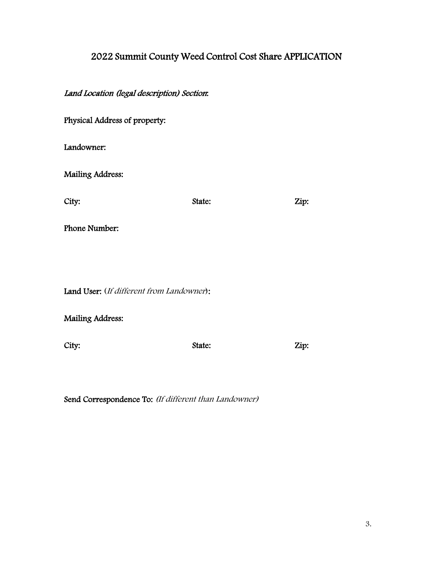# 2022 Summit County Weed Control Cost Share APPLICATION

Land Location (legal description) Section:

| Physical Address of property:             |        |      |
|-------------------------------------------|--------|------|
| Landowner:                                |        |      |
| <b>Mailing Address:</b>                   |        |      |
| City:                                     | State: | Zip: |
| Phone Number:                             |        |      |
|                                           |        |      |
| Land User: (If different from Landowner): |        |      |
| <b>Mailing Address:</b>                   |        |      |

City: State: State: Zip:

Send Correspondence To: (If different than Landowner)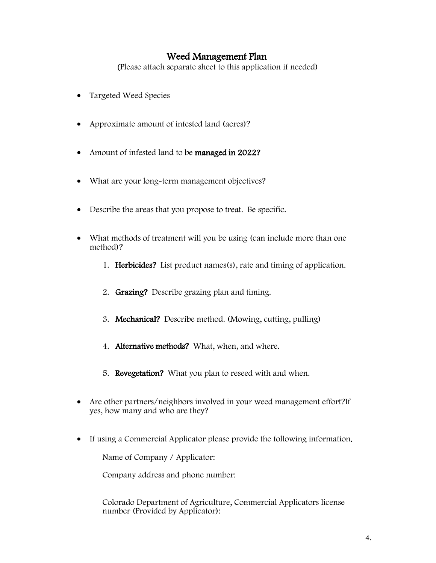### Weed Management Plan

(Please attach separate sheet to this application if needed)

- Targeted Weed Species
- Approximate amount of infested land (acres)?
- Amount of infested land to be managed in 2022?
- What are your long-term management objectives?
- Describe the areas that you propose to treat. Be specific.
- What methods of treatment will you be using (can include more than one method)?
	- 1. Herbicides? List product names(s), rate and timing of application.
	- 2. Grazing? Describe grazing plan and timing.
	- 3. Mechanical? Describe method. (Mowing, cutting, pulling)
	- 4. Alternative methods? What, when, and where.
	- 5. Revegetation? What you plan to reseed with and when.
- Are other partners/neighbors involved in your weed management effort?If yes, how many and who are they?
- If using a Commercial Applicator please provide the following information.

Name of Company / Applicator:

Company address and phone number:

Colorado Department of Agriculture, Commercial Applicators license number (Provided by Applicator):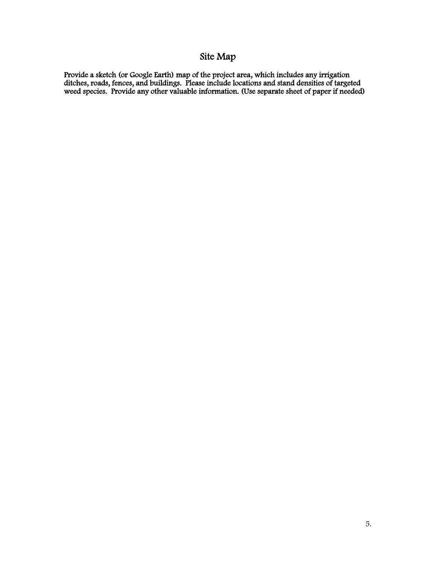# Site Map

Provide a sketch (or Google Earth) map of the project area, which includes any irrigation ditches, roads, fences, and buildings. Please include locations and stand densities of targeted weed species. Provide any other valuable information. (Use separate sheet of paper if needed)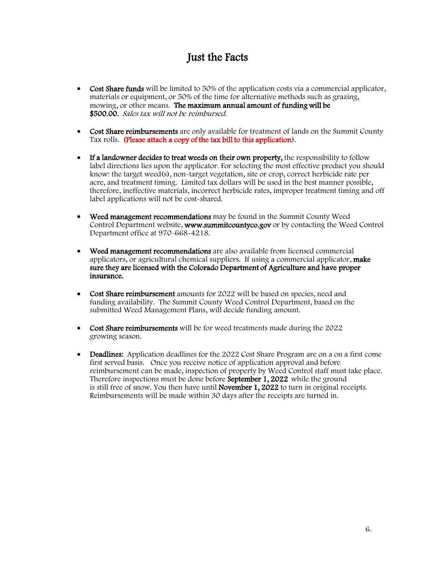## Just the Facts

- Cost Share funds will be limited to 50% of the application costs via a commercial applicator, materials or equipment, or 50% of the time for alternative methods such as grazing, mowing, or other means. The maximum annual amount of funding will be \$500.00. Sales tax will not be reimbursed.
- Cost Share reimbursements are only available for treatment of lands on the Summit County Tax rolls. (Please attach a copy of the tax bill to this application).
- If a landowner decides to treat weeds on their own property, the responsibility to follow label directions lies upon the applicator. For selecting the most effective product you should know: the target weed(s), non-target vegetation, site or crop, correct herbicide rate per acre, and treatment timing. Limited tax dollars will be used in the best manner possible, therefore, ineffective materials, incorrect herbicide rates, improper treatment timing and off label applications will not be cost-shared.
- Weed management recommendations may be found in the Summit County Weed Control Department website, www.summitcountyco.gov or by contacting the Weed Control Department office at 970-668-4218.
- Weed management recommendations are also available from licensed commercial applicators, or agricultural chemical suppliers. If using a commercial applicator, make sure they are licensed with the Colorado Department of Agriculture and have proper insurance.
- Cost Share reimbursement amounts for 2022 will be based on species, need and funding availability. The Summit County Weed Control Department, based on the submitted Weed Management Plans, will decide funding amount.
- Cost Share reimbursements will be for weed treatments made during the 2022 growing season.
- Deadlines: Application deadlines for the 2022 Cost Share Program are on a on a first come first served basis. Once you receive notice of application approval and before reimbursement can be made, inspection of property by Weed Control staff must take place. Therefore inspections must be done before **September 1, 2022** while the ground is still free of snow. You then have until **November 1, 2022** to turn in original receipts. Reimbursements will be made within 30 days after the receipts are turned in.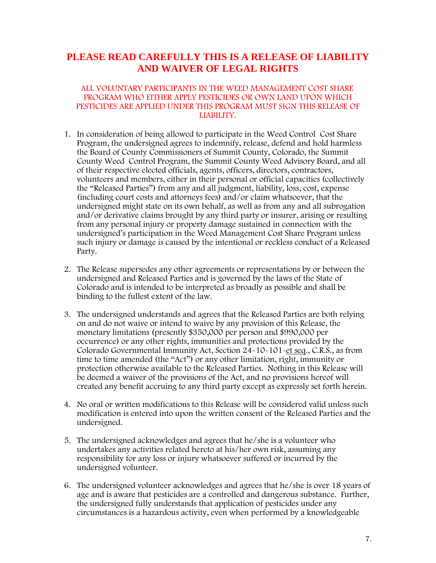### **PLEASE READ CAREFULLY THIS IS A RELEASE OF LIABILITY AND WAIVER OF LEGAL RIGHTS**

### ALL VOLUNTARY PARTICIPANTS IN THE WEED MANAGEMENT COST SHARE PROGRAM WHO EITHER APPLY PESTICIDES OR OWN LAND UPON WHICH PESTICIDES ARE APPLIED UNDER THIS PROGRAM MUST SIGN THIS RELEASE OF LIABILITY.

- 1. In consideration of being allowed to participate in the Weed Control Cost Share Program, the undersigned agrees to indemnify, release, defend and hold harmless the Board of County Commissioners of Summit County, Colorado, the Summit County Weed Control Program, the Summit County Weed Advisory Board, and all of their respective elected officials, agents, officers, directors, contractors, volunteers and members, either in their personal or official capacities (collectively the "Released Parties") from any and all judgment, liability, loss, cost, expense (including court costs and attorneys fees) and/or claim whatsoever, that the undersigned might state on its own behalf, as well as from any and all subrogation and/or derivative claims brought by any third party or insurer, arising or resulting from any personal injury or property damage sustained in connection with the undersigned's participation in the Weed Management Cost Share Program unless such injury or damage is caused by the intentional or reckless conduct of a Released Party.
- 2. The Release supersedes any other agreements or representations by or between the undersigned and Released Parties and is governed by the laws of the State of Colorado and is intended to be interpreted as broadly as possible and shall be binding to the fullest extent of the law.
- 3. The undersigned understands and agrees that the Released Parties are both relying on and do not waive or intend to waive by any provision of this Release, the monetary limitations (presently \$350,000 per person and \$990,000 per occurrence) or any other rights, immunities and protections provided by the Colorado Governmental Immunity Act, Section 24-10-101-et seq., C.R.S., as from time to time amended (the "Act") or any other limitation, right, immunity or protection otherwise available to the Released Parties. Nothing in this Release will be deemed a waiver of the provisions of the Act, and no provisions hereof will created any benefit accruing to any third party except as expressly set forth herein.
- 4. No oral or written modifications to this Release will be considered valid unless such modification is entered into upon the written consent of the Released Parties and the undersigned.
- 5. The undersigned acknowledges and agrees that he/she is a volunteer who undertakes any activities related hereto at his/her own risk, assuming any responsibility for any loss or injury whatsoever suffered or incurred by the undersigned volunteer.
- 6. The undersigned volunteer acknowledges and agrees that he/she is over 18 years of age and is aware that pesticides are a controlled and dangerous substance. Further, the undersigned fully understands that application of pesticides under any circumstances is a hazardous activity, even when performed by a knowledgeable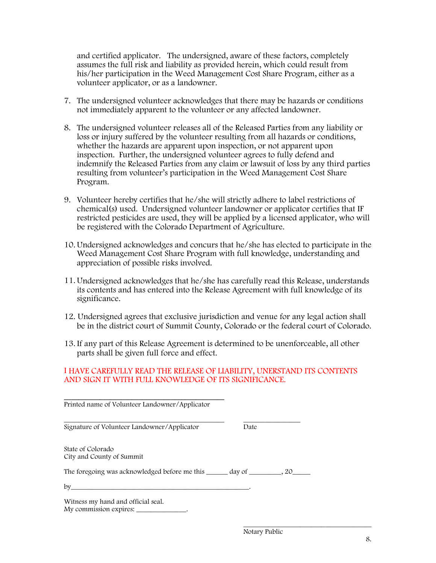and certified applicator. The undersigned, aware of these factors, completely assumes the full risk and liability as provided herein, which could result from his/her participation in the Weed Management Cost Share Program, either as a volunteer applicator, or as a landowner.

- 7. The undersigned volunteer acknowledges that there may be hazards or conditions not immediately apparent to the volunteer or any affected landowner.
- 8. The undersigned volunteer releases all of the Released Parties from any liability or loss or injury suffered by the volunteer resulting from all hazards or conditions, whether the hazards are apparent upon inspection, or not apparent upon inspection. Further, the undersigned volunteer agrees to fully defend and indemnify the Released Parties from any claim or lawsuit of loss by any third parties resulting from volunteer's participation in the Weed Management Cost Share Program.
- 9. Volunteer hereby certifies that he/she will strictly adhere to label restrictions of chemical(s) used. Undersigned volunteer landowner or applicator certifies that IF restricted pesticides are used, they will be applied by a licensed applicator, who will be registered with the Colorado Department of Agriculture.
- 10.Undersigned acknowledges and concurs that he/she has elected to participate in the Weed Management Cost Share Program with full knowledge, understanding and appreciation of possible risks involved.
- 11.Undersigned acknowledges that he/she has carefully read this Release, understands its contents and has entered into the Release Agreement with full knowledge of its significance.
- 12. Undersigned agrees that exclusive jurisdiction and venue for any legal action shall be in the district court of Summit County, Colorado or the federal court of Colorado.
- 13. If any part of this Release Agreement is determined to be unenforceable, all other parts shall be given full force and effect.

### I HAVE CAREFULLY READ THE RELEASE OF LIABILITY, UNERSTAND ITS CONTENTS AND SIGN IT WITH FULL KNOWLEDGE OF ITS SIGNIFICANCE.

| Printed name of Volunteer Landowner/Applicator               |      |  |
|--------------------------------------------------------------|------|--|
| Signature of Volunteer Landowner/Applicator                  | Date |  |
| State of Colorado<br>City and County of Summit               |      |  |
|                                                              |      |  |
| $\mathbf{b}$ v                                               |      |  |
| Witness my hand and official seal.<br>My commission expires: |      |  |

Notary Public

\_\_\_\_\_\_\_\_\_\_\_\_\_\_\_\_\_\_\_\_\_\_\_\_\_\_\_\_\_\_\_\_\_\_\_\_